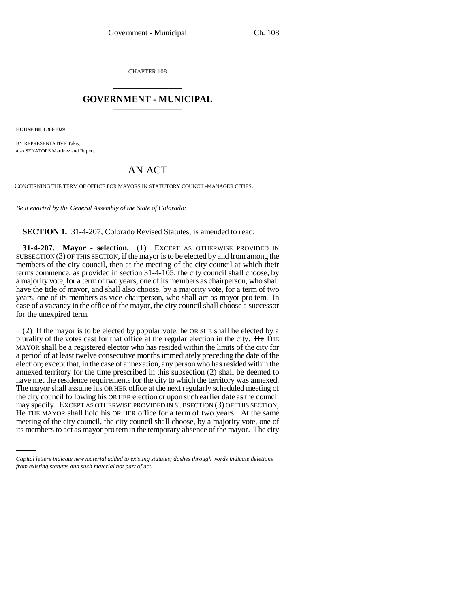CHAPTER 108 \_\_\_\_\_\_\_\_\_\_\_\_\_\_\_

## **GOVERNMENT - MUNICIPAL** \_\_\_\_\_\_\_\_\_\_\_\_\_\_\_

**HOUSE BILL 98-1029**

BY REPRESENTATIVE Takis; also SENATORS Martinez and Rupert.

## AN ACT

CONCERNING THE TERM OF OFFICE FOR MAYORS IN STATUTORY COUNCIL-MANAGER CITIES.

*Be it enacted by the General Assembly of the State of Colorado:*

**SECTION 1.** 31-4-207, Colorado Revised Statutes, is amended to read:

**31-4-207. Mayor - selection.** (1) EXCEPT AS OTHERWISE PROVIDED IN SUBSECTION (3) OF THIS SECTION, if the mayor is to be elected by and from among the members of the city council, then at the meeting of the city council at which their terms commence, as provided in section 31-4-105, the city council shall choose, by a majority vote, for a term of two years, one of its members as chairperson, who shall have the title of mayor, and shall also choose, by a majority vote, for a term of two years, one of its members as vice-chairperson, who shall act as mayor pro tem. In case of a vacancy in the office of the mayor, the city council shall choose a successor for the unexpired term.

He THE MAYOR shall hold his OR HER office for a term of two years. At the same (2) If the mayor is to be elected by popular vote, he OR SHE shall be elected by a plurality of the votes cast for that office at the regular election in the city. He THE MAYOR shall be a registered elector who has resided within the limits of the city for a period of at least twelve consecutive months immediately preceding the date of the election; except that, in the case of annexation, any person who has resided within the annexed territory for the time prescribed in this subsection (2) shall be deemed to have met the residence requirements for the city to which the territory was annexed. The mayor shall assume his OR HER office at the next regularly scheduled meeting of the city council following his OR HER election or upon such earlier date as the council may specify. EXCEPT AS OTHERWISE PROVIDED IN SUBSECTION (3) OF THIS SECTION, meeting of the city council, the city council shall choose, by a majority vote, one of its members to act as mayor pro tem in the temporary absence of the mayor. The city

*Capital letters indicate new material added to existing statutes; dashes through words indicate deletions from existing statutes and such material not part of act.*